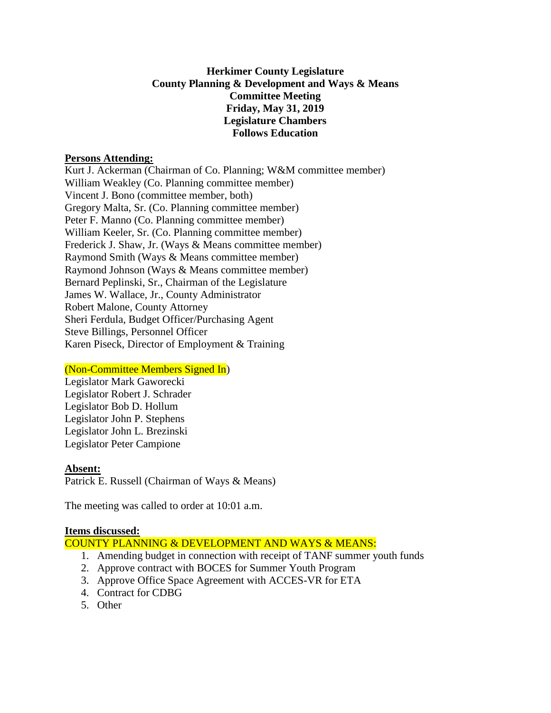# **Herkimer County Legislature County Planning & Development and Ways & Means Committee Meeting Friday, May 31, 2019 Legislature Chambers Follows Education**

### **Persons Attending:**

Kurt J. Ackerman (Chairman of Co. Planning; W&M committee member) William Weakley (Co. Planning committee member) Vincent J. Bono (committee member, both) Gregory Malta, Sr. (Co. Planning committee member) Peter F. Manno (Co. Planning committee member) William Keeler, Sr. (Co. Planning committee member) Frederick J. Shaw, Jr. (Ways & Means committee member) Raymond Smith (Ways & Means committee member) Raymond Johnson (Ways & Means committee member) Bernard Peplinski, Sr., Chairman of the Legislature James W. Wallace, Jr., County Administrator Robert Malone, County Attorney Sheri Ferdula, Budget Officer/Purchasing Agent Steve Billings, Personnel Officer Karen Piseck, Director of Employment & Training

# (Non-Committee Members Signed In)

Legislator Mark Gaworecki Legislator Robert J. Schrader Legislator Bob D. Hollum Legislator John P. Stephens Legislator John L. Brezinski Legislator Peter Campione

#### **Absent:**

Patrick E. Russell (Chairman of Ways & Means)

The meeting was called to order at 10:01 a.m.

#### **Items discussed:**

COUNTY PLANNING & DEVELOPMENT AND WAYS & MEANS:

- 1. Amending budget in connection with receipt of TANF summer youth funds
- 2. Approve contract with BOCES for Summer Youth Program
- 3. Approve Office Space Agreement with ACCES-VR for ETA
- 4. Contract for CDBG
- 5. Other